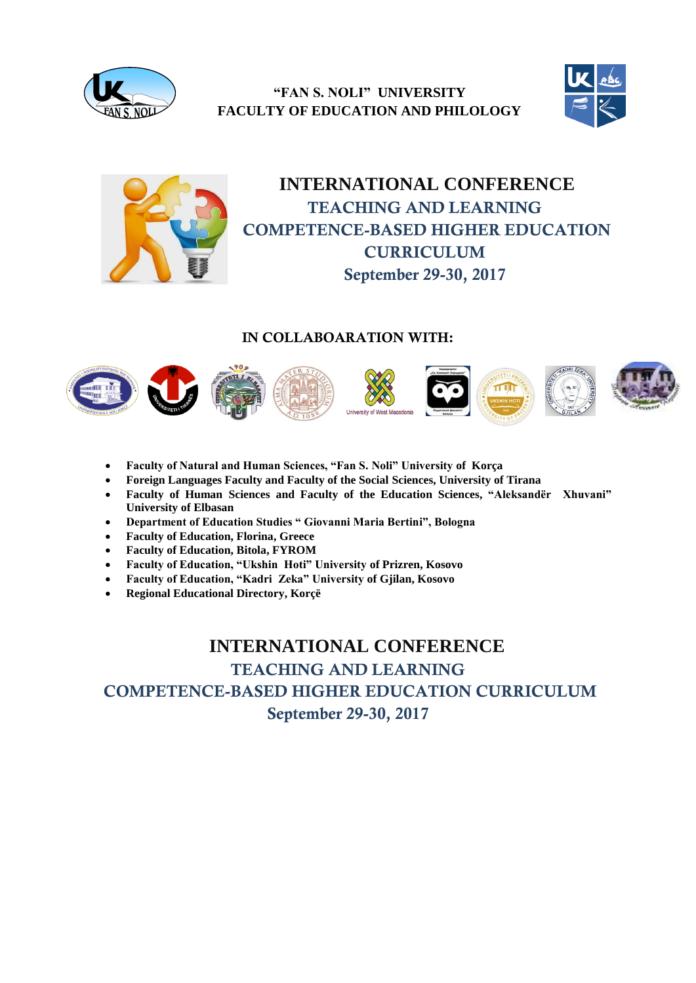

**"FAN S. NOLI" UNIVERSITY FACULTY OF EDUCATION AND PHILOLOGY**





# **INTERNATIONAL CONFERENCE TEACHING AND LEARNING COMPETENCE-BASED HIGHER EDUCATION CURRICULUM September 29-30, 2017**

#### **IN COLLABOARATION WITH:**



- **Faculty of Natural and Human Sciences, "Fan S. Noli" University of Korça**
- **Foreign Languages Faculty and Faculty of the Social Sciences, University of Tirana**
- **Faculty of Human Sciences and Faculty of the Education Sciences, "Aleksandër Xhuvani" University of Elbasan**
- **Department of Education Studies " Giovanni Maria Bertini", Bologna**
- **Faculty of Education, Florina, Greece**
- **Faculty of Education, Bitola, FYROM**
- **Faculty of Education, "Ukshin Hoti" University of Prizren, Kosovo**
- **Faculty of Education, "Kadri Zeka" University of Gjilan, Kosovo**
- **Regional Educational Directory, Korçë**

 **INTERNATIONAL CONFERENCE TEACHING AND LEARNING COMPETENCE-BASED HIGHER EDUCATION CURRICULUM September 29-30, 2017**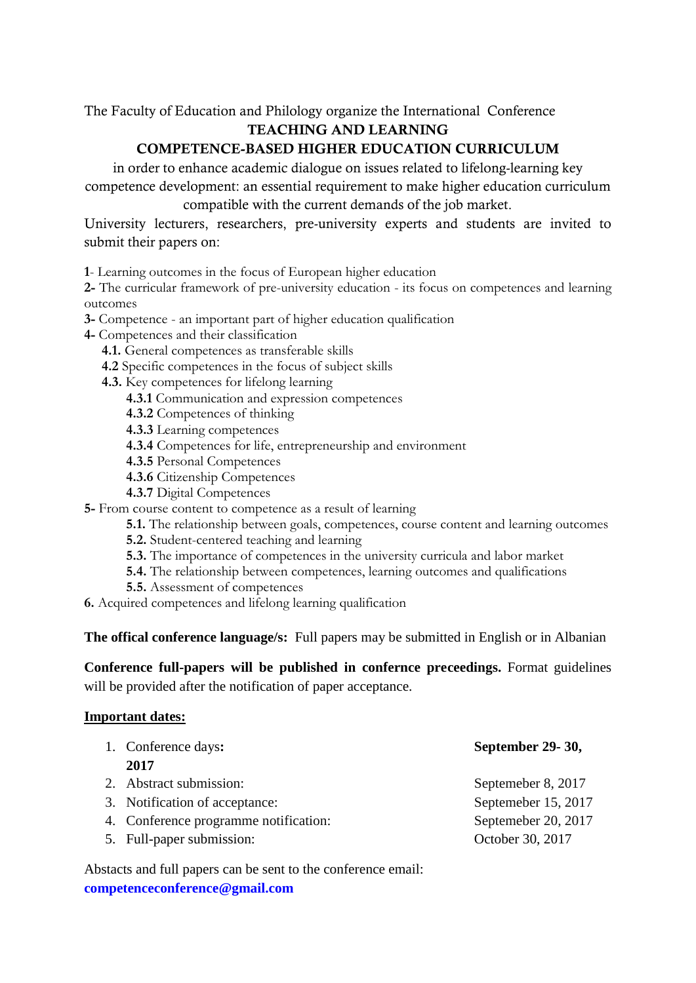The Faculty of Education and Philology organize the International Conference

## **TEACHING AND LEARNING**

## **COMPETENCE-BASED HIGHER EDUCATION CURRICULUM**

in order to enhance academic dialogue on issues related to lifelong-learning key competence development: an essential requirement to make higher education curriculum compatible with the current demands of the job market.

University lecturers, researchers, pre-university experts and students are invited to submit their papers on:

**1**- Learning outcomes in the focus of European higher education

**2-** The curricular framework of pre-university education - its focus on competences and learning outcomes

**3-** Competence - an important part of higher education qualification

- **4-** Competences and their classification
	- **4.1.** General competences as transferable skills
	- **4.2** Specific competences in the focus of subject skills
	- **4.3.** Key competences for lifelong learning
		- **4.3.1** Communication and expression competences
		- **4.3.2** Competences of thinking
		- **4.3.3** Learning competences
		- **4.3.4** Competences for life, entrepreneurship and environment
		- **4.3.5** Personal Competences
		- **4.3.6** Citizenship Competences
		- **4.3.7** Digital Competences
- **5-** From course content to competence as a result of learning
	- **5.1.** The relationship between goals, competences, course content and learning outcomes
	- **5.2.** Student-centered teaching and learning
	- **5.3.** The importance of competences in the university curricula and labor market
	- **5.4.** The relationship between competences, learning outcomes and qualifications
	- **5.5.** Assessment of competences

**6.** Acquired competences and lifelong learning qualification

**The offical conference language/s:** Full papers may be submitted in English or in Albanian

**Conference full-papers will be published in confernce preceedings.** Format guidelines will be provided after the notification of paper acceptance.

### **Important dates:**

| 1. Conference days:                   | September 29-30,    |
|---------------------------------------|---------------------|
| 2017                                  |                     |
| 2. Abstract submission:               | Septemeber 8, 2017  |
| 3. Notification of acceptance:        | Septemeber 15, 2017 |
| 4. Conference programme notification: | Septemeber 20, 2017 |
| 5. Full-paper submission:             | October 30, 2017    |

Abstacts and full papers can be sent to the conference email: **[competenceconference@gmail.com](mailto:competenceconference@gmail.com)**